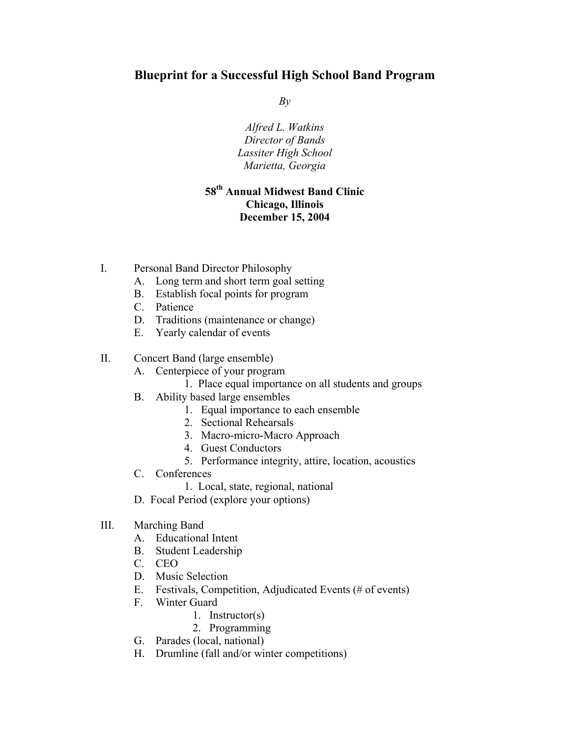# **Blueprint for a Successful High School Band Program**

*By* 

*Alfred L. Watkins Director of Bands Lassiter High School Marietta, Georgia* 

### **58th Annual Midwest Band Clinic Chicago, Illinois December 15, 2004**

- I. Personal Band Director Philosophy
	- A. Long term and short term goal setting
	- B. Establish focal points for program
	- C. Patience
	- D. Traditions (maintenance or change)
	- E. Yearly calendar of events
- II. Concert Band (large ensemble)
	- A. Centerpiece of your program
		- 1. Place equal importance on all students and groups
	- B. Ability based large ensembles
		- 1. Equal importance to each ensemble
		- 2. Sectional Rehearsals
		- 3. Macro-micro-Macro Approach
		- 4. Guest Conductors
		- 5. Performance integrity, attire, location, acoustics
	- C. Conferences
		- 1. Local, state, regional, national
	- D. Focal Period (explore your options)
- III. Marching Band
	- A. Educational Intent
	- B. Student Leadership
	- C. CEO
	- D. Music Selection
	- E. Festivals, Competition, Adjudicated Events (# of events)
	- F. Winter Guard
		- 1. Instructor(s)
		- 2. Programming
	- G. Parades (local, national)
	- H. Drumline (fall and/or winter competitions)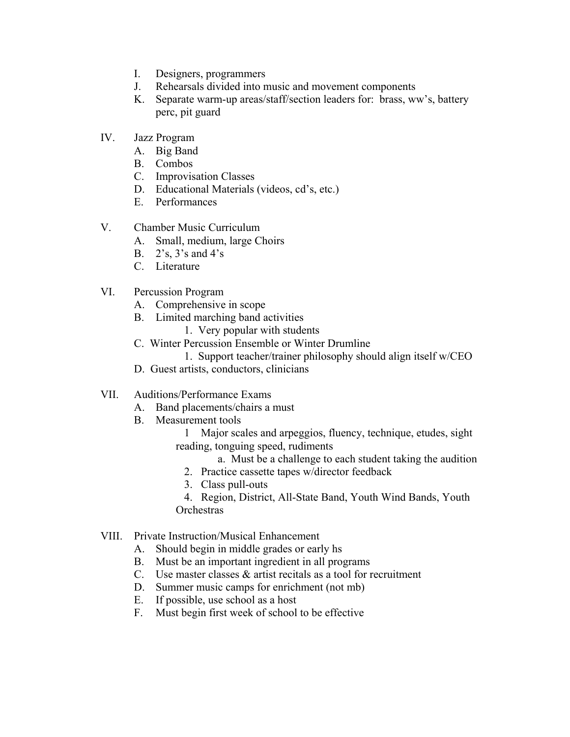- I. Designers, programmers
- J. Rehearsals divided into music and movement components
- K. Separate warm-up areas/staff/section leaders for: brass, ww's, battery perc, pit guard
- IV. Jazz Program
	- A. Big Band
	- B. Combos
	- C. Improvisation Classes
	- D. Educational Materials (videos, cd's, etc.)
	- E. Performances
- V. Chamber Music Curriculum
	- A. Small, medium, large Choirs
	- B. 2's, 3's and 4's
	- C. Literature
- VI. Percussion Program
	- A. Comprehensive in scope
	- B. Limited marching band activities
		- 1. Very popular with students
	- C. Winter Percussion Ensemble or Winter Drumline
		- 1. Support teacher/trainer philosophy should align itself w/CEO
	- D. Guest artists, conductors, clinicians
- VII. Auditions/Performance Exams
	- A. Band placements/chairs a must
	- B. Measurement tools
		- 1 Major scales and arpeggios, fluency, technique, etudes, sight reading, tonguing speed, rudiments
			- a. Must be a challenge to each student taking the audition
			- 2. Practice cassette tapes w/director feedback
			- 3. Class pull-outs
		- 4. Region, District, All-State Band, Youth Wind Bands, Youth **Orchestras**
- VIII. Private Instruction/Musical Enhancement
	- A. Should begin in middle grades or early hs
	- B. Must be an important ingredient in all programs
	- C. Use master classes & artist recitals as a tool for recruitment
	- D. Summer music camps for enrichment (not mb)
	- E. If possible, use school as a host
	- F. Must begin first week of school to be effective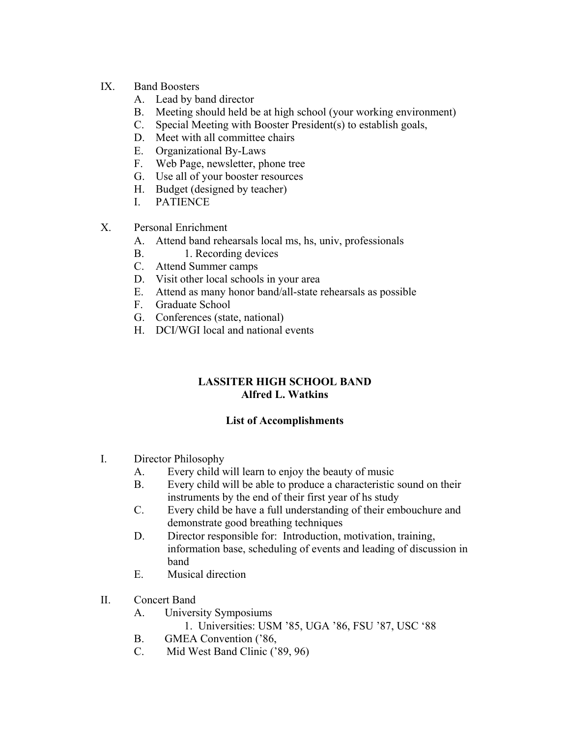#### IX. Band Boosters

- A. Lead by band director
- B. Meeting should held be at high school (your working environment)
- C. Special Meeting with Booster President(s) to establish goals,
- D. Meet with all committee chairs
- E. Organizational By-Laws
- F. Web Page, newsletter, phone tree
- G. Use all of your booster resources
- H. Budget (designed by teacher)
- I. PATIENCE
- X. Personal Enrichment
	- A. Attend band rehearsals local ms, hs, univ, professionals
	- B. 1. Recording devices
	- C. Attend Summer camps
	- D. Visit other local schools in your area
	- E. Attend as many honor band/all-state rehearsals as possible
	- F. Graduate School
	- G. Conferences (state, national)
	- H. DCI/WGI local and national events

## **LASSITER HIGH SCHOOL BAND Alfred L. Watkins**

#### **List of Accomplishments**

- I. Director Philosophy
	- A. Every child will learn to enjoy the beauty of music
	- B. Every child will be able to produce a characteristic sound on their instruments by the end of their first year of hs study
	- C. Every child be have a full understanding of their embouchure and demonstrate good breathing techniques
	- D. Director responsible for: Introduction, motivation, training, information base, scheduling of events and leading of discussion in band
	- E. Musical direction
- II. Concert Band
	- A. University Symposiums
		- 1. Universities: USM '85, UGA '86, FSU '87, USC '88
	- B. GMEA Convention ('86,
	- C. Mid West Band Clinic ('89, 96)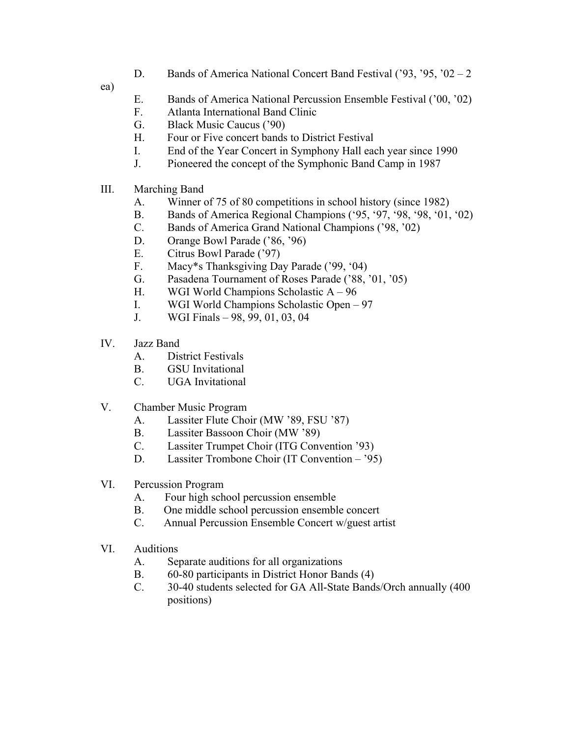D. Bands of America National Concert Band Festival ('93, '95, '02 – 2

ea)

- E. Bands of America National Percussion Ensemble Festival ('00, '02)
- F. Atlanta International Band Clinic
- G. Black Music Caucus ('90)
- H. Four or Five concert bands to District Festival
- I. End of the Year Concert in Symphony Hall each year since 1990
- J. Pioneered the concept of the Symphonic Band Camp in 1987
- III. Marching Band
	- A. Winner of 75 of 80 competitions in school history (since 1982)
	- B. Bands of America Regional Champions ('95, '97, '98, '98, '01, '02)
	- C. Bands of America Grand National Champions ('98, '02)
	- D. Orange Bowl Parade ('86, '96)
	- E. Citrus Bowl Parade ('97)
	- F. Macy\*s Thanksgiving Day Parade ('99, '04)
	- G. Pasadena Tournament of Roses Parade ('88, '01, '05)
	- H. WGI World Champions Scholastic A 96
	- I. WGI World Champions Scholastic Open 97
	- J. WGI Finals 98, 99, 01, 03, 04
- IV. Jazz Band
	- A. District Festivals
	- B. GSU Invitational
	- C. UGA Invitational
- V. Chamber Music Program
	- A. Lassiter Flute Choir (MW '89, FSU '87)
	- B. Lassiter Bassoon Choir (MW '89)
	- C. Lassiter Trumpet Choir (ITG Convention '93)
	- D. Lassiter Trombone Choir (IT Convention '95)
- VI. Percussion Program
	- A. Four high school percussion ensemble
	- B. One middle school percussion ensemble concert
	- C. Annual Percussion Ensemble Concert w/guest artist
- VI. Auditions
	- A. Separate auditions for all organizations
	- B. 60-80 participants in District Honor Bands (4)
	- C. 30-40 students selected for GA All-State Bands/Orch annually (400 positions)